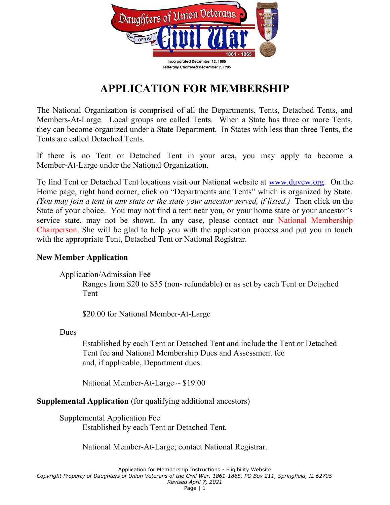

# APPLICATION FOR MEMBERSHIP

The National Organization is comprised of all the Departments, Tents, Detached Tents, and Members-At-Large. Local groups are called Tents. When a State has three or more Tents, they can become organized under a State Department. In States with less than three Tents, the Tents are called Detached Tents.

If there is no Tent or Detached Tent in your area, you may apply to become a Member-At-Large under the National Organization.

To find Tent or Detached Tent locations visit our National website at www.duvcw.org. On the Home page, right hand corner, click on "Departments and Tents" which is organized by State. (You may join a tent in any state or the state your ancestor served, if listed.) Then click on the State of your choice. You may not find a tent near you, or your home state or your ancestor's service state, may not be shown. In any case, please contact our National Membership Chairperson. She will be glad to help you with the application process and put you in touch with the appropriate Tent, Detached Tent or National Registrar.

### New Member Application

Application/Admission Fee

Ranges from \$20 to \$35 (non- refundable) or as set by each Tent or Detached Tent

\$20.00 for National Member-At-Large

### Dues

Established by each Tent or Detached Tent and include the Tent or Detached Tent fee and National Membership Dues and Assessment fee and, if applicable, Department dues.

National Member-At-Large  $\sim$  \$19.00

### Supplemental Application (for qualifying additional ancestors)

Supplemental Application Fee Established by each Tent or Detached Tent.

National Member-At-Large; contact National Registrar.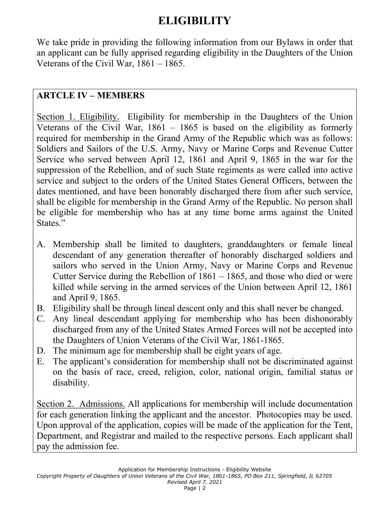## ELIGIBILITY

We take pride in providing the following information from our Bylaws in order that an applicant can be fully apprised regarding eligibility in the Daughters of the Union Veterans of the Civil War, 1861 – 1865.

## ARTCLE IV – MEMBERS

Section 1. Eligibility. Eligibility for membership in the Daughters of the Union Veterans of the Civil War, 1861 – 1865 is based on the eligibility as formerly required for membership in the Grand Army of the Republic which was as follows: Soldiers and Sailors of the U.S. Army, Navy or Marine Corps and Revenue Cutter Service who served between April 12, 1861 and April 9, 1865 in the war for the suppression of the Rebellion, and of such State regiments as were called into active service and subject to the orders of the United States General Officers, between the dates mentioned, and have been honorably discharged there from after such service, shall be eligible for membership in the Grand Army of the Republic. No person shall be eligible for membership who has at any time borne arms against the United States."

- A. Membership shall be limited to daughters, granddaughters or female lineal descendant of any generation thereafter of honorably discharged soldiers and sailors who served in the Union Army, Navy or Marine Corps and Revenue Cutter Service during the Rebellion of 1861 – 1865, and those who died or were killed while serving in the armed services of the Union between April 12, 1861 and April 9, 1865.
- B. Eligibility shall be through lineal descent only and this shall never be changed.
- C. Any lineal descendant applying for membership who has been dishonorably discharged from any of the United States Armed Forces will not be accepted into the Daughters of Union Veterans of the Civil War, 1861-1865.
- D. The minimum age for membership shall be eight years of age.
- E. The applicant's consideration for membership shall not be discriminated against on the basis of race, creed, religion, color, national origin, familial status or disability.

Section 2. Admissions. All applications for membership will include documentation for each generation linking the applicant and the ancestor. Photocopies may be used. Upon approval of the application, copies will be made of the application for the Tent, Department, and Registrar and mailed to the respective persons. Each applicant shall pay the admission fee.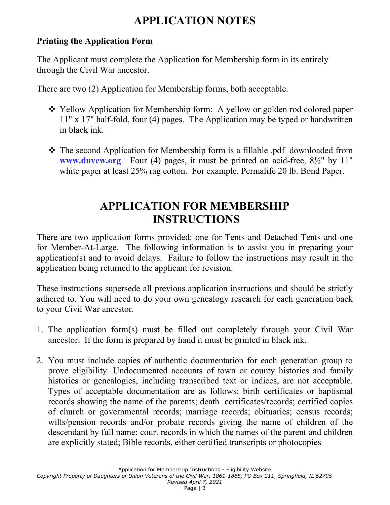## APPLICATION NOTES

### Printing the Application Form

The Applicant must complete the Application for Membership form in its entirely through the Civil War ancestor.

There are two (2) Application for Membership forms, both acceptable.

- Yellow Application for Membership form: A yellow or golden rod colored paper 11" x 17" half-fold, four (4) pages. The Application may be typed or handwritten in black ink.
- The second Application for Membership form is a fillable .pdf downloaded from www.duvcw.org. Four (4) pages, it must be printed on acid-free,  $8\frac{1}{2}$ " by 11" white paper at least 25% rag cotton. For example, Permalife 20 lb. Bond Paper.

# APPLICATION FOR MEMBERSHIP INSTRUCTIONS

There are two application forms provided: one for Tents and Detached Tents and one for Member-At-Large. The following information is to assist you in preparing your application(s) and to avoid delays. Failure to follow the instructions may result in the application being returned to the applicant for revision.

These instructions supersede all previous application instructions and should be strictly adhered to. You will need to do your own genealogy research for each generation back to your Civil War ancestor.

- 1. The application form(s) must be filled out completely through your Civil War ancestor. If the form is prepared by hand it must be printed in black ink.
- 2. You must include copies of authentic documentation for each generation group to prove eligibility. Undocumented accounts of town or county histories and family histories or genealogies, including transcribed text or indices, are not acceptable. Types of acceptable documentation are as follows: birth certificates or baptismal records showing the name of the parents; death certificates/records; certified copies of church or governmental records; marriage records; obituaries; census records; wills/pension records and/or probate records giving the name of children of the descendant by full name; court records in which the names of the parent and children are explicitly stated; Bible records, either certified transcripts or photocopies